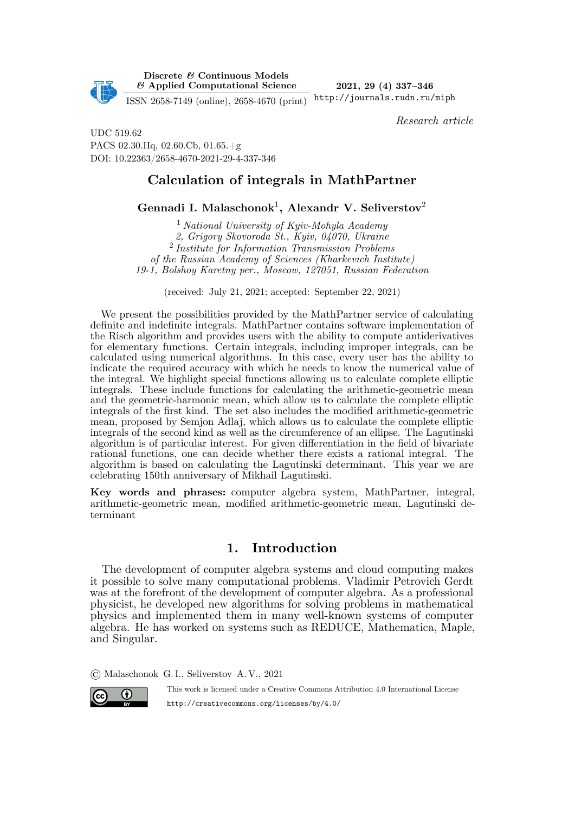

**Discrete** *&* **Continuous Models** *&* **Applied Computational Science**

**2021, 29 (4) 337–346** http://journals.rudn.ru/miph

ISSN 2658-7149 (online), 2658-4670 (print)

*Research article*

UDC 519.62 PACS 02.30.Hq, 02.60.Cb, 01.65.+g DOI: 10.22363/2658-4670-2021-29-4-337-346

# **Calculation of integrals in MathPartner**

**Gennadi I. Malaschonok**<sup>1</sup> **, Alexandr V. Seliverstov**<sup>2</sup>

<sup>1</sup> *National University of Kyiv-Mohyla Academy 2, Grigory Skovoroda St., Kyiv, 04070, Ukraine* 2 *Institute for Information Transmission Problems of the Russian Academy of Sciences (Kharkevich Institute) 19-1, Bolshoy Karetny per., Moscow, 127051, Russian Federation*

(received: July 21, 2021; accepted: September 22, 2021)

We present the possibilities provided by the MathPartner service of calculating definite and indefinite integrals. MathPartner contains software implementation of the Risch algorithm and provides users with the ability to compute antiderivatives for elementary functions. Certain integrals, including improper integrals, can be calculated using numerical algorithms. In this case, every user has the ability to indicate the required accuracy with which he needs to know the numerical value of the integral. We highlight special functions allowing us to calculate complete elliptic integrals. These include functions for calculating the arithmetic-geometric mean and the geometric-harmonic mean, which allow us to calculate the complete elliptic integrals of the first kind. The set also includes the modified arithmetic-geometric mean, proposed by Semjon Adlaj, which allows us to calculate the complete elliptic integrals of the second kind as well as the circumference of an ellipse. The Lagutinski algorithm is of particular interest. For given differentiation in the field of bivariate rational functions, one can decide whether there exists a rational integral. The algorithm is based on calculating the Lagutinski determinant. This year we are celebrating 150th anniversary of Mikhail Lagutinski.

**Key words and phrases:** computer algebra system, MathPartner, integral, arithmetic-geometric mean, modified arithmetic-geometric mean, Lagutinski determinant

# **1. Introduction**

The development of computer algebra systems and cloud computing makes it possible to solve many computational problems. Vladimir Petrovich Gerdt was at the forefront of the development of computer algebra. As a professional physicist, he developed new algorithms for solving problems in mathematical physics and implemented them in many well-known systems of computer algebra. He has worked on systems such as REDUCE, Mathematica, Maple, and Singular.

© Malaschonok G. I., Seliverstov A. V., 2021



This work is licensed under a Creative Commons Attribution 4.0 International License http://creativecommons.org/licenses/by/4.0/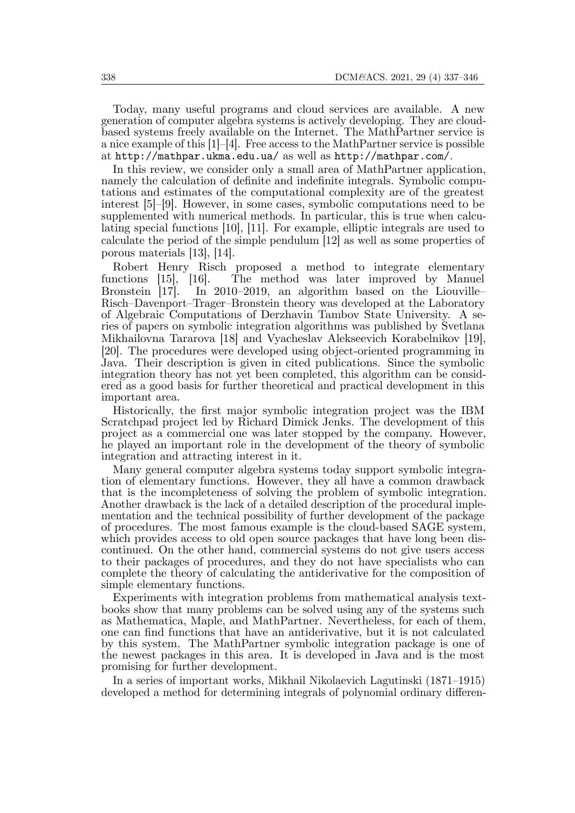Today, many useful programs and cloud services are available. A new generation of computer algebra systems is actively developing. They are cloudbased systems freely available on the Internet. The MathPartner service is a nice example of this  $[1]-[4]$ . Free access to the MathPartner service is possible at http://mathpar.ukma.edu.ua/ as well as http://mathpar.com/.

In this review, we consider only a small area of MathPartner application, namely the calculation of definite and indefinite integrals. Symbolic computations and estimates of the computational complexity are of the greatest interest [5]–[9]. However, in some cases, symbolic computations need to be supplemented with numerical methods. In particular, this is true when calculating special functions [10], [11]. For example, elliptic integrals are used to calculate the period of the simple pendulum [12] as well as some properties of porous materials [13], [14].

Robert Henry Risch proposed a method to integrate elementary<br>nctions [15], [16]. The method was later improved by Manuel functions [15], [16]. The method was later improved by Manuel Bronstein [17]. In 2010–2019, an algorithm based on the Liouville– Risch–Davenport–Trager–Bronstein theory was developed at the Laboratory of Algebraic Computations of Derzhavin Tambov State University. A series of papers on symbolic integration algorithms was published by Svetlana Mikhailovna Tararova [18] and Vyacheslav Alekseevich Korabelnikov [19], [20]. The procedures were developed using object-oriented programming in Java. Their description is given in cited publications. Since the symbolic integration theory has not yet been completed, this algorithm can be considered as a good basis for further theoretical and practical development in this important area.

Historically, the first major symbolic integration project was the IBM Scratchpad project led by Richard Dimick Jenks. The development of this project as a commercial one was later stopped by the company. However, he played an important role in the development of the theory of symbolic integration and attracting interest in it.

Many general computer algebra systems today support symbolic integration of elementary functions. However, they all have a common drawback that is the incompleteness of solving the problem of symbolic integration. Another drawback is the lack of a detailed description of the procedural implementation and the technical possibility of further development of the package of procedures. The most famous example is the cloud-based SAGE system, which provides access to old open source packages that have long been discontinued. On the other hand, commercial systems do not give users access to their packages of procedures, and they do not have specialists who can complete the theory of calculating the antiderivative for the composition of simple elementary functions.

Experiments with integration problems from mathematical analysis textbooks show that many problems can be solved using any of the systems such as Mathematica, Maple, and MathPartner. Nevertheless, for each of them, one can find functions that have an antiderivative, but it is not calculated by this system. The MathPartner symbolic integration package is one of the newest packages in this area. It is developed in Java and is the most promising for further development.

In a series of important works, Mikhail Nikolaevich Lagutinski (1871–1915) developed a method for determining integrals of polynomial ordinary differen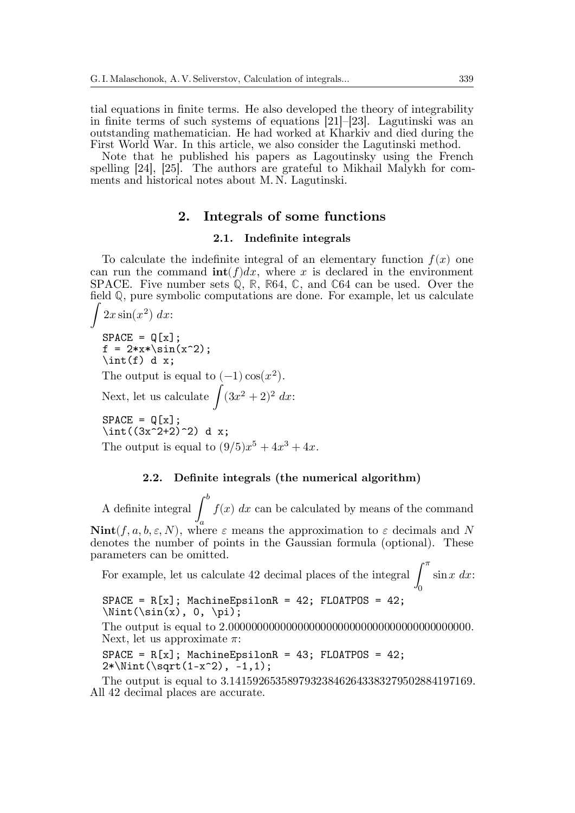tial equations in finite terms. He also developed the theory of integrability in finite terms of such systems of equations [21]–[23]. Lagutinski was an outstanding mathematician. He had worked at Kharkiv and died during the First World War. In this article, we also consider the Lagutinski method.

Note that he published his papers as Lagoutinsky using the French spelling [24], [25]. The authors are grateful to Mikhail Malykh for comments and historical notes about M. N. Lagutinski.

## **2. Integrals of some functions**

#### **2.1. Indefinite integrals**

To calculate the indefinite integral of an elementary function  $f(x)$  one can run the command  $\text{int}(f)dx$ , where x is declared in the environment SPACE. Five number sets Q, R, R64, C, and C64 can be used. Over the field ℚ, pure symbolic computations are done. For example, let us calculate

 $\int 2x \sin(x^2) dx$  $SPACE = Q[x]$ ;  $f = 2*x * \sin(x^2);$  $\int(f) d x$ ; The output is equal to  $(-1)\cos(x^2)$ . Next, let us calculate  $\int (3x^2 + 2)^2 dx$ :  $SPACE = Q[x]$ ;  $\int_{(3x^2+2)^2} dx$ ; The output is equal to  $(9/5)x^5 + 4x^3 + 4x$ .

#### **2.2. Definite integrals (the numerical algorithm)**

A definite integral ∫  $\boldsymbol{b}$  $\overline{a}$  $f(x)$  dx can be calculated by means of the command  $\text{Nint}(f, a, b, \varepsilon, N)$ , where  $\varepsilon$  means the approximation to  $\varepsilon$  decimals and N denotes the number of points in the Gaussian formula (optional). These

parameters can be omitted. For example, let us calculate 42 decimal places of the integral ∫  $\pi$  $\sin x \, dx$ :

 $\overline{0}$  $SPACE = R[x]$ ; MachineEpsilonR = 42; FLOATPOS = 42;

 $\int(\sin(x), 0, \pi)$ ; The output is equal to 2.000000000000000000000000000000000000000000. Next, let us approximate  $\pi$ :

 $SPACE = R[x]$ ; MachineEpsilonR = 43; FLOATPOS = 42;  $2*\Nint(\sqrt{1-x^2}, -1, 1);$ 

The output is equal to 3.141592653589793238462643383279502884197169. All 42 decimal places are accurate.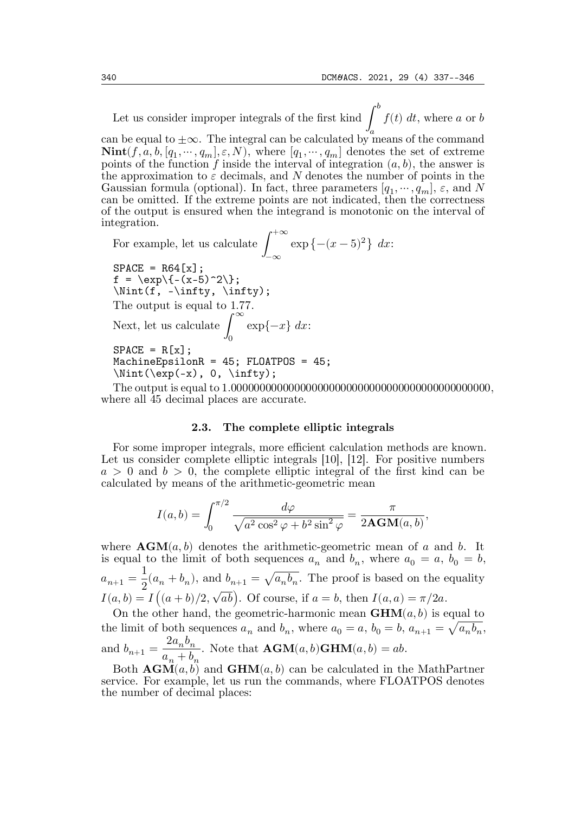Let us consider improper integrals of the first kind ∫  $\boldsymbol{b}$ can be equal to  $\pm\infty$ . The integral can be calculated by means of the command  $f(t)$  dt, where a or b  $\textbf{Nint}(f, a, b, [q_1, \cdots, q_m], \varepsilon, N)$ , where  $[q_1, \cdots, q_m]$  denotes the set of extreme points of the function f inside the interval of integration  $(a, b)$ , the answer is the approximation to  $\varepsilon$  decimals, and N denotes the number of points in the Gaussian formula (optional). In fact, three parameters  $[q_1, \dots, q_m], \varepsilon$ , and N can be omitted. If the extreme points are not indicated, then the correctness of the output is ensured when the integrand is monotonic on the interval of integration.

For example, let us calculate ∫  $+\infty$ −∞  $\exp \{-(x-5)^2\} dx$  $SPACE = R64[x];$  $f = \exp^{-((x-5)^2)};$  $\int(f, -\infty, \infty)$ ; The output is equal to 1.77. Next, let us calculate ∫ ∞  $\overline{0}$  $\exp\{-x\} dx$ :  $SPACE = R[x]$ ; MachineEpsilonR = 45; FLOATPOS = 45;  $\int(\exp(-x), 0, \infty)$ ;

The output is equal to 1.000000000000000000000000000000000000000000000, where all 45 decimal places are accurate.

#### **2.3. The complete elliptic integrals**

For some improper integrals, more efficient calculation methods are known. Let us consider complete elliptic integrals [10], [12]. For positive numbers  $a > 0$  and  $b > 0$ , the complete elliptic integral of the first kind can be calculated by means of the arithmetic-geometric mean

$$
I(a,b) = \int_0^{\pi/2} \frac{d\varphi}{\sqrt{a^2 \cos^2 \varphi + b^2 \sin^2 \varphi}} = \frac{\pi}{2\mathbf{AGM}(a,b)},
$$

where  $\text{AGM}(a, b)$  denotes the arithmetic-geometric mean of a and b. It is equal to the limit of both sequences  $a_n$  and  $b_n$ , where  $a_0 = a, b_0 = b$ ,  $a_{n+1} =$ 1  $\frac{1}{2}(a_n + b_n)$ , and  $b_{n+1} = \sqrt{a_n b_n}$ . The proof is based on the equality  $I(a, b) = I((a + b)/2, \sqrt{ab})$ . Of course, if  $a = b$ , then  $I(a, a) = \pi/2a$ .

On the other hand, the geometric-harmonic mean  $\text{GHM}(a, b)$  is equal to the limit of both sequences  $a_n$  and  $b_n$ , where  $a_0 = a$ ,  $b_0 = b$ ,  $a_{n+1} = \sqrt{a_n b_n}$ , and  $b_{n+1} =$  $2a_nb_n$  $a_n + b_n$ . Note that  $\text{AGM}(a, b) \text{GHM}(a, b) = ab$ .

Both  $\mathbf{AGM}(a, b)$  and  $\mathbf{GHM}(a, b)$  can be calculated in the MathPartner service. For example, let us run the commands, where FLOATPOS denotes the number of decimal places: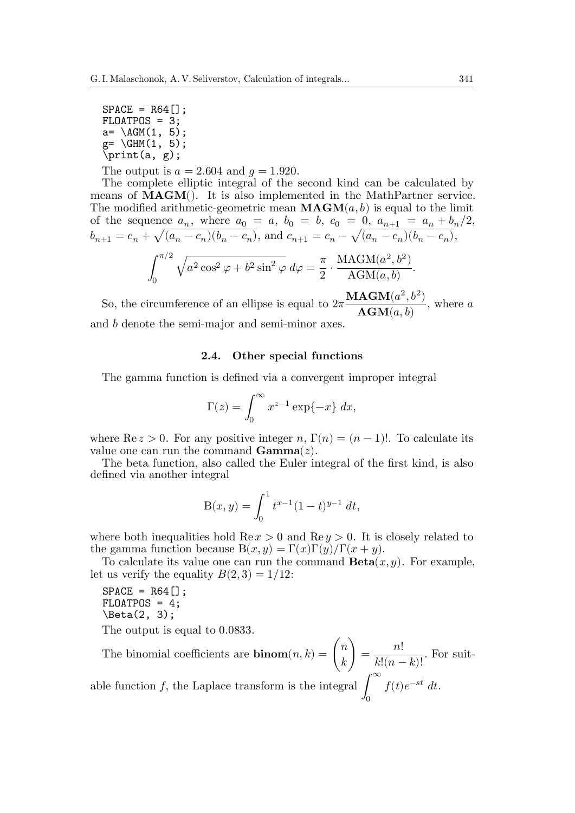$SPACE = R64$ [];  $FLOATPOS = 3;$  $a = \Delta G M(1, 5);$  $g = \left( \text{GHM}(1, 5) \right)$ ; \print(a, g);

The output is  $a = 2.604$  and  $q = 1.920$ .

The complete elliptic integral of the second kind can be calculated by means of **MAGM**(). It is also implemented in the MathPartner service. The modified arithmetic-geometric mean  $\text{MAGM}(a, b)$  is equal to the limit of the sequence  $a_n$ , where  $a_0 = a$ ,  $b_0 = b$ ,  $c_0 = 0$ ,  $a_{n+1} = a_n + b_n/2$ ,  $b_{n+1} = c_n + \sqrt{(a_n - c_n)(b_n - c_n)}$ , and  $c_{n+1} = c_n - \sqrt{(a_n - c_n)(b_n - c_n)}$ , ∫  $\pi/2$  $\overline{0}$  $\sqrt{a^2 \cos^2 \varphi + b^2 \sin^2 \varphi} d\varphi = \frac{\pi}{2}$  $\cdot \frac{\text{MAGM}(a^2, b^2)}{\Delta \text{GM}(a^2)}$  $\frac{\text{AGM}(a, b)}{\text{AGM}(a, b)}$ .

So, the circumference of an ellipse is equal to  $2\pi$  $\mathbf{MAGM}(a^2, b^2)$  $\overline{\text{AGM}(a, b)}$ , where a and *b* denote the semi-major and semi-minor axes.

#### **2.4. Other special functions**

The gamma function is defined via a convergent improper integral

$$
\Gamma(z) = \int_0^\infty x^{z-1} \exp\{-x\} \, dx,
$$

where  $\text{Re } z > 0$ . For any positive integer n,  $\Gamma(n) = (n-1)!$ . To calculate its value one can run the command  $\mathbf{Gamma}(z)$ .

The beta function, also called the Euler integral of the first kind, is also defined via another integral

$$
B(x,y) = \int_0^1 t^{x-1} (1-t)^{y-1} dt,
$$

where both inequalities hold  $\text{Re} x > 0$  and  $\text{Re} y > 0$ . It is closely related to the gamma function because  $B(x, y) = \Gamma(x)\Gamma(y)/\Gamma(x + y)$ .

To calculate its value one can run the command  $\textbf{Beta}(x, y)$ . For example, let us verify the equality  $B(2, 3) = 1/12$ :

```
SPACE = R64[];
FLOATPOS = 4;
\beta(2, 3);
```
The output is equal to 0.0833.

The binomial coefficients are **binom** $(n, k) = \binom{n}{k}$  $= \frac{n!}{\sqrt{16}}$  $\frac{n!}{k!(n-k)!}$ . For suit-∞

able function  $f$ , the Laplace transform is the integral  $\int$  $\overline{0}$  $f(t)e^{-st} dt$ .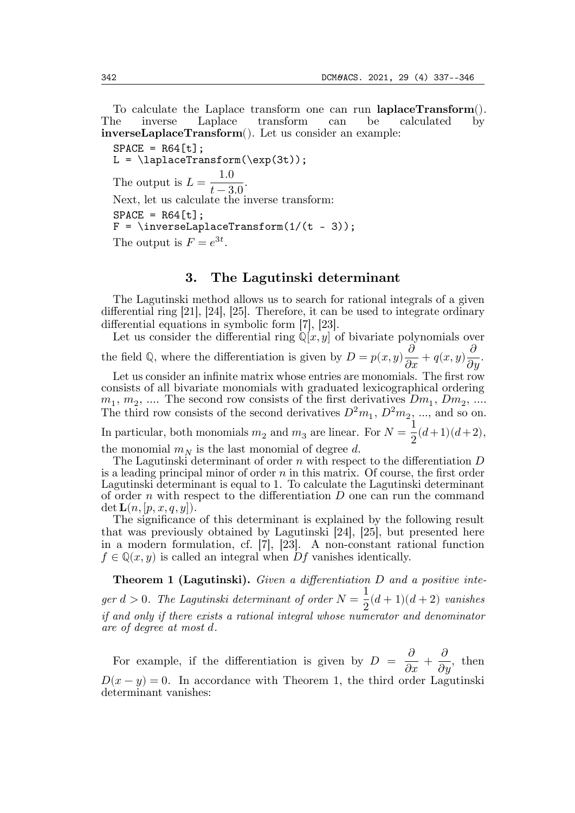To calculate the Laplace transform one can run **laplaceTransform**(). The inverse Laplace transform can be calculated by **inverseLaplaceTransform**(). Let us consider an example:

 $SPACE = R64[t];$  $L = \langle \text{LaplaceTransform}(\exp(3t)) \rangle$ The output is  $L = \frac{1.0}{t - 3.0}$ . Next, let us calculate the inverse transform:  $SPACE = R64[t];$  $F = \infty$ : F = \inverseLaplaceTransform(1/(t - 3)); The output is  $F = e^{3t}$ .

## **3. The Lagutinski determinant**

The Lagutinski method allows us to search for rational integrals of a given differential ring [21], [24], [25]. Therefore, it can be used to integrate ordinary differential equations in symbolic form [7], [23].

Let us consider the differential ring  $\mathbb{Q}[x, y]$  of bivariate polynomials over the field Q, where the differentiation is given by  $D = p(x, y) \frac{\partial}{\partial x} + q(x, y) \frac{\partial}{\partial y}$ .

Let us consider an infinite matrix whose entries are monomials. The first row consists of all bivariate monomials with graduated lexicographical ordering  $m_1, m_2, \dots$  The second row consists of the first derivatives  $Dm_1, Dm_2, \dots$ The third row consists of the second derivatives  $D^2m_1$ ,  $D^2m_2$ , ..., and so on.

In particular, both monomials  $m_2$  and  $m_3$  are linear. For  $N = \frac{1}{2}(d+1)(d+2)$ ,

the monomial  $m_N$  is the last monomial of degree d.

The Lagutinski determinant of order  $n$  with respect to the differentiation  $D$ is a leading principal minor of order  $n$  in this matrix. Of course, the first order Lagutinski determinant is equal to 1. To calculate the Lagutinski determinant of order  $n$  with respect to the differentiation  $D$  one can run the command  $\det L(n, |p, x, q, y|).$ 

The significance of this determinant is explained by the following result that was previously obtained by Lagutinski [24], [25], but presented here in a modern formulation, cf. [7], [23]. A non-constant rational function  $f \in \mathbb{Q}(x, y)$  is called an integral when Df vanishes identically.

**Theorem 1 (Lagutinski).** Given a differentiation D and a positive inte $ger d > 0$ . The Lagutinski determinant of order  $N = \frac{1}{2}(d+1)(d+2)$  vanishes *if and only if there exists a rational integral whose numerator and denominator are of degree at most .*

For example, if the differentiation is given by  $D = \frac{\partial}{\partial x} +$  $\partial$  $\frac{\delta}{\partial y}$ , then  $D(x - y) = 0$ . In accordance with Theorem 1, the third order Lagutinski determinant vanishes: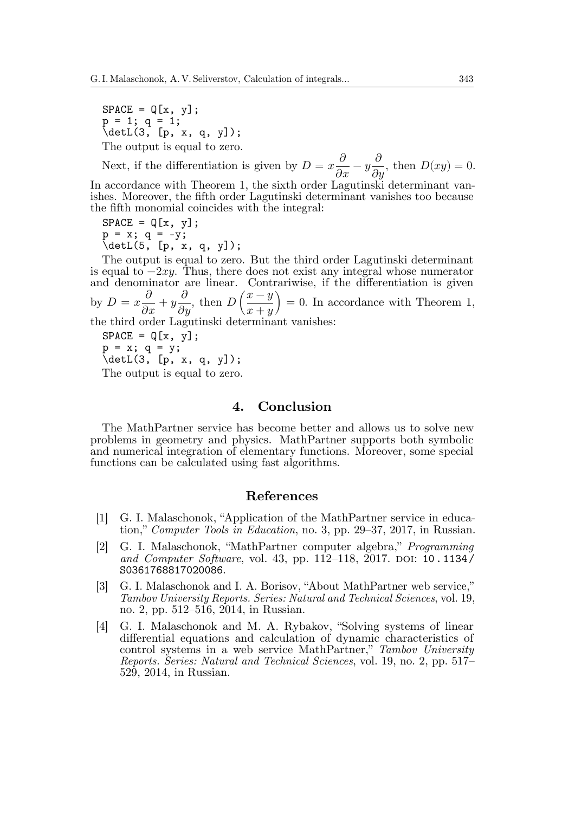$SPACE = Q[x, y];$  $p = 1$ ;  $q = 1$ ;  $\det L(3, [p, x, q, y])$ ; The output is equal to zero.

Next, if the differentiation is given by  $D = x \frac{\partial}{\partial x} - y \frac{\partial}{\partial x}$  $\partial$  $\frac{\partial}{\partial y}$ , then  $D(xy) = 0$ .

In accordance with Theorem 1, the sixth order Lagutinski determinant vanishes. Moreover, the fifth order Lagutinski determinant vanishes too because the fifth monomial coincides with the integral:

 $SPACE = Q[x, y];$  $p = x; q = -y;$ \detL(5, [p, x, q, y]);

The output is equal to zero. But the third order Lagutinski determinant is equal to  $-2xy$ . Thus, there does not exist any integral whose numerator and denominator are linear. Contrariwise, if the differentiation is given by  $D = x \frac{\partial}{\partial x} + y \frac{\partial}{\partial x}$  $\partial$  $\frac{\partial}{\partial y}$ , then  $D\left(\right)$  $x-y\lambda$  $\left(\frac{x-y}{x+y}\right) = 0.$  In accordance with Theorem 1, the third order Lagutinski determinant vanishes:

 $SPACE = Q[x, y];$  $p = x$ ;  $q = y$ ; \detL(3, [p, x, q, y]);

The output is equal to zero.

## **4. Conclusion**

The MathPartner service has become better and allows us to solve new problems in geometry and physics. MathPartner supports both symbolic and numerical integration of elementary functions. Moreover, some special functions can be calculated using fast algorithms.

### **References**

- [1] G. I. Malaschonok, "Application of the MathPartner service in education," *Computer Tools in Education*, no. 3, pp. 29–37, 2017, in Russian.
- [2] G. I. Malaschonok, "MathPartner computer algebra," *Programming and Computer Software*, vol. 43, pp. 112–118, 2017. DOI: 10 . 1134 / S0361768817020086.
- [3] G. I. Malaschonok and I. A. Borisov, "About MathPartner web service," *Tambov University Reports. Series: Natural and Technical Sciences*, vol. 19, no. 2, pp. 512–516, 2014, in Russian.
- [4] G. I. Malaschonok and M. A. Rybakov, "Solving systems of linear differential equations and calculation of dynamic characteristics of control systems in a web service MathPartner," *Tambov University Reports. Series: Natural and Technical Sciences*, vol. 19, no. 2, pp. 517– 529, 2014, in Russian.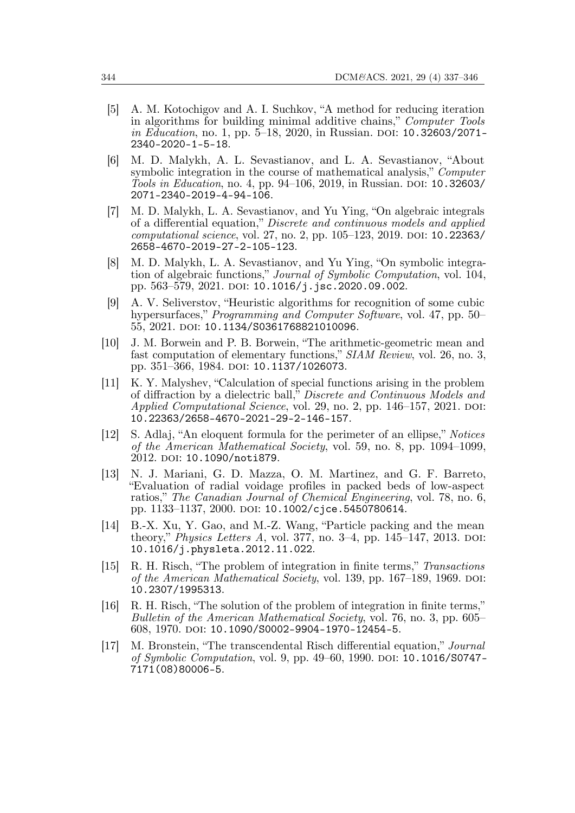- [5] A. M. Kotochigov and A. I. Suchkov, "A method for reducing iteration in algorithms for building minimal additive chains," *Computer Tools in Education*, no. 1, pp. 5–18, 2020, in Russian. DOI: 10.32603/2071- 2340-2020-1-5-18.
- [6] M. D. Malykh, A. L. Sevastianov, and L. A. Sevastianov, "About symbolic integration in the course of mathematical analysis," *Computer Tools in Education*, no. 4, pp. 94–106, 2019, in Russian. DOI: 10.32603/ 2071-2340-2019-4-94-106.
- [7] M. D. Malykh, L. A. Sevastianov, and Yu Ying, "On algebraic integrals of a differential equation," *Discrete and continuous models and applied computational science*, vol. 27, no. 2, pp. 105–123, 2019. DOI: 10.22363/ 2658-4670-2019-27-2-105-123.
- [8] M. D. Malykh, L. A. Sevastianov, and Yu Ying, "On symbolic integration of algebraic functions," *Journal of Symbolic Computation*, vol. 104, pp. 563–579, 2021. DOI: 10.1016/j.jsc.2020.09.002.
- [9] A. V. Seliverstov, "Heuristic algorithms for recognition of some cubic hypersurfaces," *Programming and Computer Software*, vol. 47, pp. 50– 55, 2021. DOI: 10.1134/S0361768821010096.
- [10] J. M. Borwein and P. B. Borwein, "The arithmetic-geometric mean and fast computation of elementary functions," *SIAM Review*, vol. 26, no. 3, pp. 351–366, 1984. DOI: 10.1137/1026073.
- [11] K. Y. Malyshev, "Calculation of special functions arising in the problem of diffraction by a dielectric ball," *Discrete and Continuous Models and Applied Computational Science*, vol. 29, no. 2, pp. 146–157, 2021. DOI: 10.22363/2658-4670-2021-29-2-146-157.
- [12] S. Adlaj, "An eloquent formula for the perimeter of an ellipse," *Notices of the American Mathematical Society*, vol. 59, no. 8, pp. 1094–1099, 2012. DOI: 10.1090/noti879.
- [13] N. J. Mariani, G. D. Mazza, O. M. Martinez, and G. F. Barreto, "Evaluation of radial voidage profiles in packed beds of low-aspect ratios," *The Canadian Journal of Chemical Engineering*, vol. 78, no. 6, pp. 1133–1137, 2000. DOI: 10.1002/cjce.5450780614.
- [14] B.-X. Xu, Y. Gao, and M.-Z. Wang, "Particle packing and the mean theory," *Physics Letters A*, vol. 377, no. 3–4, pp. 145–147, 2013. DOI: 10.1016/j.physleta.2012.11.022.
- [15] R. H. Risch, "The problem of integration in finite terms," *Transactions of the American Mathematical Society*, vol. 139, pp. 167–189, 1969. DOI: 10.2307/1995313.
- [16] R. H. Risch, "The solution of the problem of integration in finite terms," *Bulletin of the American Mathematical Society*, vol. 76, no. 3, pp. 605– 608, 1970. DOI: 10.1090/S0002-9904-1970-12454-5.
- [17] M. Bronstein, "The transcendental Risch differential equation," *Journal of Symbolic Computation*, vol. 9, pp. 49–60, 1990. DOI: 10.1016/S0747- 7171(08)80006-5.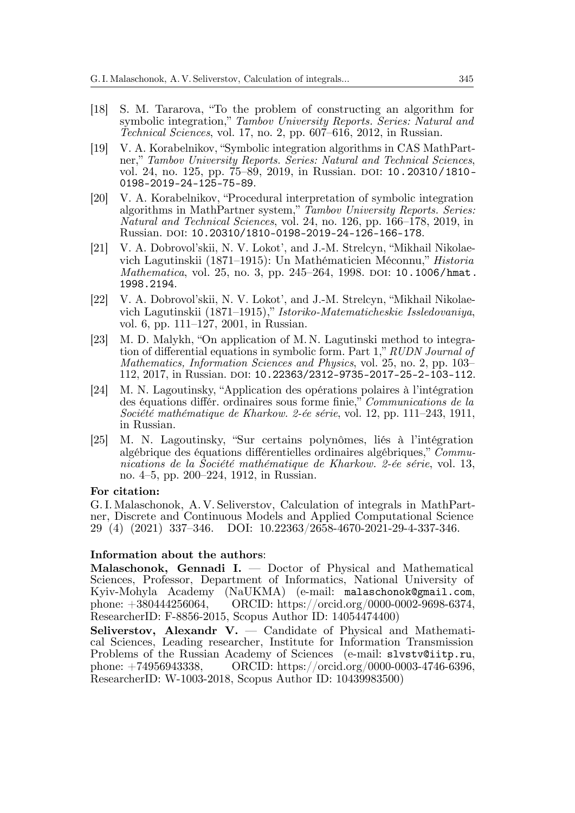- [18] S. M. Tararova, "To the problem of constructing an algorithm for symbolic integration," *Tambov University Reports. Series: Natural and Technical Sciences*, vol. 17, no. 2, pp. 607–616, 2012, in Russian.
- [19] V. A. Korabelnikov, "Symbolic integration algorithms in CAS MathPartner," *Tambov University Reports. Series: Natural and Technical Sciences*, vol. 24, no. 125, pp. 75–89, 2019, in Russian. DOI: 10.20310/1810- 0198-2019-24-125-75-89.
- [20] V. A. Korabelnikov, "Procedural interpretation of symbolic integration algorithms in MathPartner system," *Tambov University Reports. Series: Natural and Technical Sciences*, vol. 24, no. 126, pp. 166–178, 2019, in Russian. DOI: 10.20310/1810-0198-2019-24-126-166-178.
- [21] V. A. Dobrovol'skii, N. V. Lokot', and J.-M. Strelcyn, "Mikhail Nikolaevich Lagutinskii (1871–1915): Un Mathématicien Méconnu," *Historia Mathematica*, vol. 25, no. 3, pp. 245–264, 1998. DOI: 10.1006/hmat. 1998.2194.
- [22] V. A. Dobrovol'skii, N. V. Lokot', and J.-M. Strelcyn, "Mikhail Nikolaevich Lagutinskii (1871–1915)," *Istoriko-Matematicheskie Issledovaniya*, vol. 6, pp. 111–127, 2001, in Russian.
- [23] M. D. Malykh, "On application of M. N. Lagutinski method to integration of differential equations in symbolic form. Part 1," *RUDN Journal of Mathematics, Information Sciences and Physics*, vol. 25, no. 2, pp. 103– 112, 2017, in Russian. DOI: 10.22363/2312-9735-2017-25-2-103-112.
- [24] M. N. Lagoutinsky, "Application des opérations polaires à l'intégration des équations différ. ordinaires sous forme finie," *Communications de la Société mathématique de Kharkow. 2-ée série*, vol. 12, pp. 111–243, 1911, in Russian.
- [25] M. N. Lagoutinsky, "Sur certains polynômes, liés à l'intégration algébrique des équations différentielles ordinaires algébriques," *Communications de la Société mathématique de Kharkow. 2-ée série*, vol. 13, no. 4–5, pp. 200–224, 1912, in Russian.

## **For citation:**

G. I. Malaschonok, A. V. Seliverstov, Calculation of integrals in MathPartner, Discrete and Continuous Models and Applied Computational Science 29 (4) (2021) 337–346. DOI: 10.22363/2658-4670-2021-29-4-337-346.

#### **Information about the authors**:

**Malaschonok, Gennadi I.** — Doctor of Physical and Mathematical Sciences, Professor, Department of Informatics, National University of Kyiv-Mohyla Academy (NaUKMA) (e-mail: malaschonok@gmail.com, phone: +380444256064, ORCID: https://orcid.org/0000-0002-9698-6374, ResearcherID: F-8856-2015, Scopus Author ID: 14054474400)

**Seliverstov, Alexandr V.** — Candidate of Physical and Mathematical Sciences, Leading researcher, Institute for Information Transmission Problems of the Russian Academy of Sciences (e-mail: slvstv@iitp.ru, phone: +74956943338, ORCID: https://orcid.org/0000-0003-4746-6396, ResearcherID: W-1003-2018, Scopus Author ID: 10439983500)